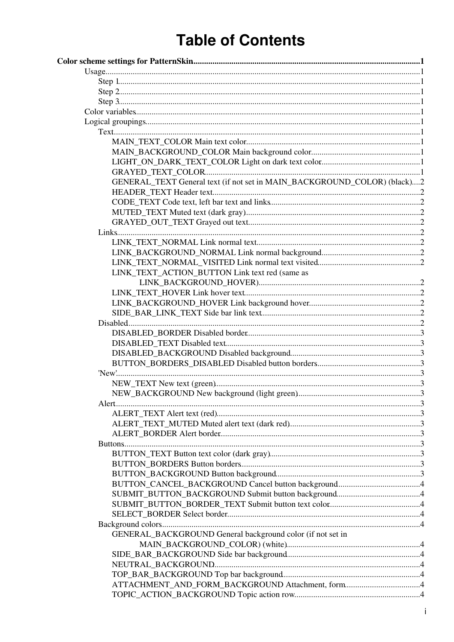# **Table of Contents**

| GENERAL_TEXT General text (if not set in MAIN_BACKGROUND_COLOR) (black)2 |  |
|--------------------------------------------------------------------------|--|
|                                                                          |  |
|                                                                          |  |
|                                                                          |  |
|                                                                          |  |
|                                                                          |  |
|                                                                          |  |
|                                                                          |  |
|                                                                          |  |
| LINK_TEXT_ACTION_BUTTON Link text red (same as                           |  |
|                                                                          |  |
|                                                                          |  |
|                                                                          |  |
|                                                                          |  |
|                                                                          |  |
|                                                                          |  |
|                                                                          |  |
|                                                                          |  |
|                                                                          |  |
|                                                                          |  |
|                                                                          |  |
|                                                                          |  |
|                                                                          |  |
|                                                                          |  |
|                                                                          |  |
|                                                                          |  |
|                                                                          |  |
|                                                                          |  |
|                                                                          |  |
|                                                                          |  |
|                                                                          |  |
|                                                                          |  |
|                                                                          |  |
|                                                                          |  |
|                                                                          |  |
| GENERAL_BACKGROUND General background color (if not set in               |  |
|                                                                          |  |
|                                                                          |  |
|                                                                          |  |
|                                                                          |  |
|                                                                          |  |
| ATTACHMENT_AND_FORM_BACKGROUND Attachment, form4                         |  |
|                                                                          |  |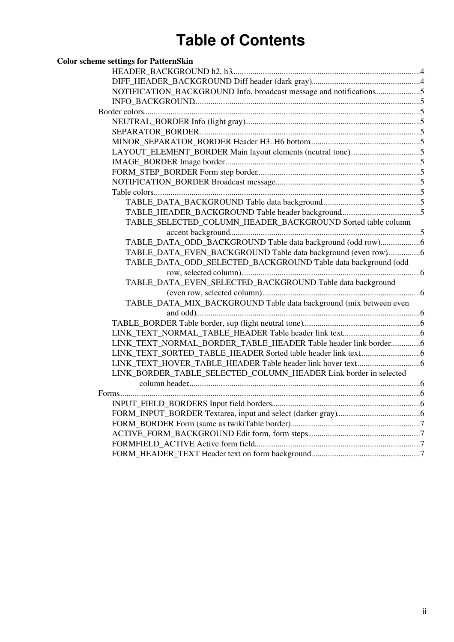# **Table of Contents**

| <b>Color scheme settings for PatternSkin</b>                       |  |
|--------------------------------------------------------------------|--|
|                                                                    |  |
|                                                                    |  |
| NOTIFICATION_BACKGROUND Info, broadcast message and notifications5 |  |
|                                                                    |  |
|                                                                    |  |
|                                                                    |  |
|                                                                    |  |
|                                                                    |  |
|                                                                    |  |
|                                                                    |  |
|                                                                    |  |
|                                                                    |  |
|                                                                    |  |
|                                                                    |  |
| TABLE_HEADER_BACKGROUND Table header background5                   |  |
| TABLE_SELECTED_COLUMN_HEADER_BACKGROUND Sorted table column        |  |
|                                                                    |  |
| TABLE_DATA_ODD_BACKGROUND Table data background (odd row)6         |  |
| TABLE_DATA_EVEN_BACKGROUND Table data background (even row)6       |  |
| TABLE_DATA_ODD_SELECTED_BACKGROUND Table data background (odd      |  |
|                                                                    |  |
| TABLE_DATA_EVEN_SELECTED_BACKGROUND Table data background          |  |
|                                                                    |  |
| TABLE_DATA_MIX_BACKGROUND Table data background (mix between even  |  |
|                                                                    |  |
|                                                                    |  |
| LINK_TEXT_NORMAL_BORDER_TABLE_HEADER Table header link border6     |  |
|                                                                    |  |
|                                                                    |  |
| LINK_BORDER_TABLE_SELECTED_COLUMN_HEADER Link border in selected   |  |
|                                                                    |  |
|                                                                    |  |
|                                                                    |  |
|                                                                    |  |
|                                                                    |  |
|                                                                    |  |
|                                                                    |  |
|                                                                    |  |
|                                                                    |  |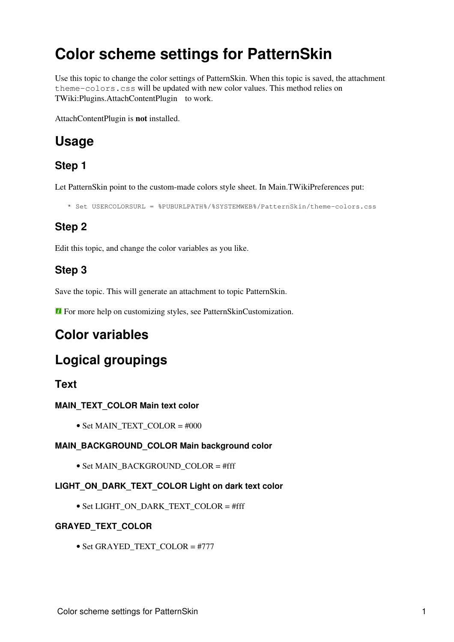# <span id="page-2-0"></span>**Color scheme settings for [PatternSkin](https://wiki-igi.cnaf.infn.it/twiki/bin/view/TWiki/PatternSkin)**

Use this topic to change the color settings of [PatternSkin.](https://wiki-igi.cnaf.infn.it/twiki/bin/view/TWiki/PatternSkin) When this topic is saved, the attachment theme-colors.css will be updated with new color values. This method relies on [TWiki:Plugins.AttachContentPlugin](http://twiki.org/cgi-bin/view/Plugins/AttachContentPlugin) to work.

AttachContentPlugin is **not** installed.

# <span id="page-2-1"></span>**Usage**

# <span id="page-2-2"></span>**Step 1**

Let [PatternSkin](https://wiki-igi.cnaf.infn.it/twiki/bin/view/TWiki/PatternSkin) point to the custom-made colors style sheet. In [Main.TWikiPreferences](https://wiki-igi.cnaf.infn.it/twiki/bin/view/Main/TWikiPreferences) put:

\* Set USERCOLORSURL = %PUBURLPATH%/%SYSTEMWEB%/PatternSkin/theme-colors.css

# <span id="page-2-3"></span>**Step 2**

Edit this topic, and change the color variables as you like.

# <span id="page-2-4"></span>**Step 3**

Save the topic. This will generate an [attachment](https://wiki-igi.cnaf.infn.it/twiki/pub/TWiki/PatternSkin/theme-colors.css) to topic [PatternSkin.](https://wiki-igi.cnaf.infn.it/twiki/bin/view/TWiki/PatternSkin)

**F** For more help on customizing styles, see [PatternSkinCustomization](https://wiki-igi.cnaf.infn.it/twiki/bin/view/TWiki/PatternSkinCustomization).

# <span id="page-2-5"></span>**Color variables**

# <span id="page-2-6"></span>**Logical groupings**

## <span id="page-2-7"></span>**Text**

### <span id="page-2-8"></span>**MAIN\_TEXT\_COLOR Main text color**

• Set MAIN\_TEXT\_COLOR = #000

### <span id="page-2-9"></span>**MAIN\_BACKGROUND\_COLOR Main background color**

• Set MAIN\_BACKGROUND\_COLOR = #fff

### <span id="page-2-10"></span>**LIGHT\_ON\_DARK\_TEXT\_COLOR Light on dark text color**

• Set LIGHT\_ON\_DARK\_TEXT\_COLOR = #fff

### <span id="page-2-11"></span>**GRAYED\_TEXT\_COLOR**

• Set GRAYED\_TEXT\_COLOR = #777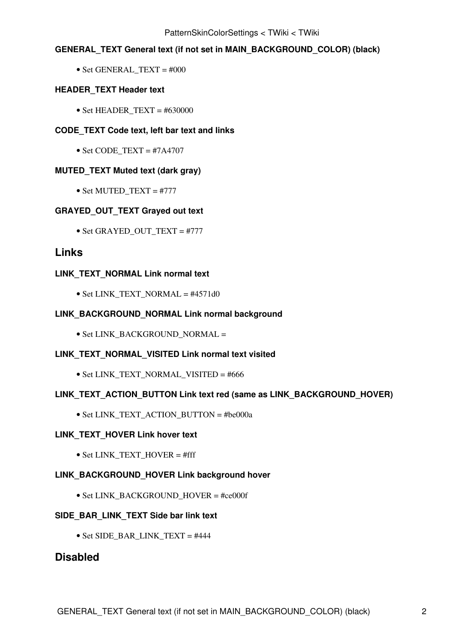## <span id="page-3-0"></span>**GENERAL\_TEXT General text (if not set in MAIN\_BACKGROUND\_COLOR) (black)**

• Set GENERAL\_TEXT = #000

## <span id="page-3-1"></span>**HEADER\_TEXT Header text**

• Set HEADER  $text{TEXT} = #630000$ 

### <span id="page-3-2"></span>**CODE\_TEXT Code text, left bar text and links**

• Set CODE\_TEXT =  $#7A4707$ 

## <span id="page-3-3"></span>**MUTED\_TEXT Muted text (dark gray)**

• Set MUTED TEXT =  $#777$ 

## <span id="page-3-4"></span>**GRAYED\_OUT\_TEXT Grayed out text**

• Set GRAYED\_OUT\_TEXT = #777

## <span id="page-3-5"></span>**Links**

### <span id="page-3-6"></span>**LINK\_TEXT\_NORMAL Link normal text**

• Set LINK\_TEXT\_NORMAL =  $\text{\#4571d0}$ 

### <span id="page-3-7"></span>**LINK\_BACKGROUND\_NORMAL Link normal background**

• Set LINK\_BACKGROUND\_NORMAL =

### <span id="page-3-8"></span>**LINK\_TEXT\_NORMAL\_VISITED Link normal text visited**

• Set LINK\_TEXT\_NORMAL\_VISITED = #666

### <span id="page-3-9"></span>**LINK\_TEXT\_ACTION\_BUTTON Link text red (same as LINK\_BACKGROUND\_HOVER)**

• Set LINK\_TEXT\_ACTION\_BUTTON = #be000a

### <span id="page-3-10"></span>**LINK\_TEXT\_HOVER Link hover text**

• Set LINK\_TEXT\_HOVER =  $#$ fff

### <span id="page-3-11"></span>**LINK\_BACKGROUND\_HOVER Link background hover**

• Set LINK\_BACKGROUND\_HOVER = #ce000f

### <span id="page-3-12"></span>**SIDE\_BAR\_LINK\_TEXT Side bar link text**

• Set SIDE\_BAR\_LINK\_TEXT = #444

# <span id="page-3-13"></span>**Disabled**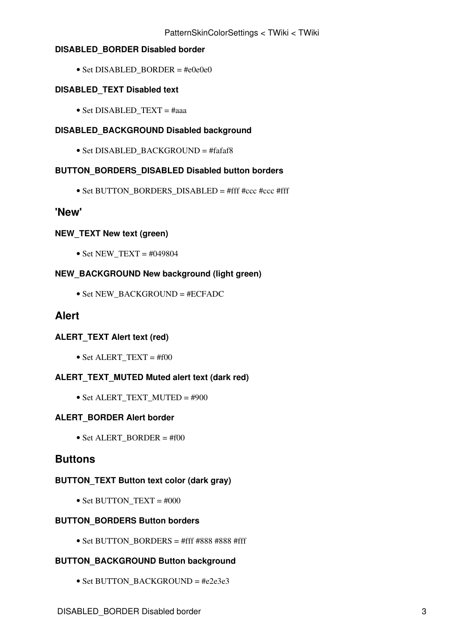### <span id="page-4-0"></span>**DISABLED\_BORDER Disabled border**

• Set DISABLED\_BORDER = #e0e0e0

### <span id="page-4-1"></span>**DISABLED\_TEXT Disabled text**

• Set DISABLED\_TEXT = #aaa

### <span id="page-4-2"></span>**DISABLED\_BACKGROUND Disabled background**

• Set DISABLED\_BACKGROUND = #fafaf8

## <span id="page-4-3"></span>**BUTTON\_BORDERS\_DISABLED Disabled button borders**

• Set BUTTON\_BORDERS\_DISABLED = #fff #ccc #ccc #fff

## <span id="page-4-4"></span>**'New'**

### <span id="page-4-5"></span>**NEW\_TEXT New text (green)**

• Set NEW\_TEXT =  $\text{\#049804}$ 

### <span id="page-4-6"></span>**NEW\_BACKGROUND New background (light green)**

• Set NEW\_BACKGROUND = #ECFADC

# <span id="page-4-7"></span>**Alert**

### <span id="page-4-8"></span>**ALERT\_TEXT Alert text (red)**

• Set ALERT  $text{TET} = #f00$ 

### <span id="page-4-9"></span>**ALERT\_TEXT\_MUTED Muted alert text (dark red)**

• Set ALERT\_TEXT\_MUTED =  $#900$ 

### <span id="page-4-10"></span>**ALERT\_BORDER Alert border**

• Set ALERT\_BORDER = #f00

# <span id="page-4-11"></span>**Buttons**

### <span id="page-4-12"></span>**BUTTON\_TEXT Button text color (dark gray)**

• Set BUTTON\_TEXT =  $\#000$ 

### <span id="page-4-13"></span>**BUTTON\_BORDERS Button borders**

• Set BUTTON\_BORDERS = #fff #888 #888 #fff

### <span id="page-4-14"></span>**BUTTON\_BACKGROUND Button background**

• Set BUTTON\_BACKGROUND =  $\text{#e2e3e3}$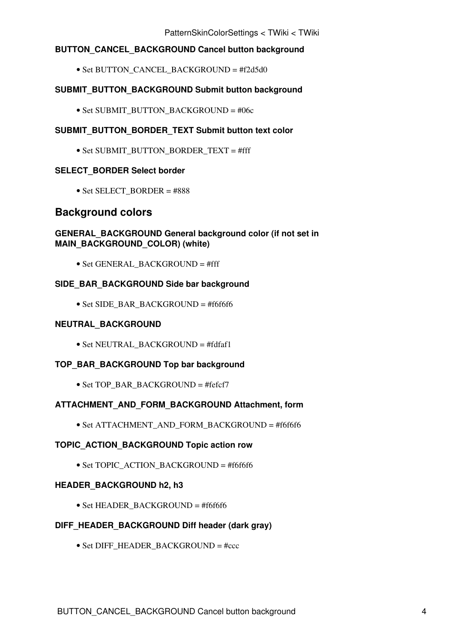## <span id="page-5-0"></span>**BUTTON\_CANCEL\_BACKGROUND Cancel button background**

• Set BUTTON\_CANCEL\_BACKGROUND = #f2d5d0

## <span id="page-5-1"></span>**SUBMIT\_BUTTON\_BACKGROUND Submit button background**

• Set SUBMIT\_BUTTON\_BACKGROUND = #06c

## <span id="page-5-2"></span>**SUBMIT\_BUTTON\_BORDER\_TEXT Submit button text color**

• Set SUBMIT\_BUTTON\_BORDER\_TEXT = #fff

### <span id="page-5-3"></span>**SELECT\_BORDER Select border**

• Set SELECT\_BORDER = #888

# <span id="page-5-4"></span>**Background colors**

#### <span id="page-5-5"></span>**GENERAL\_BACKGROUND General background color (if not set in MAIN\_BACKGROUND\_COLOR) (white)**

• Set GENERAL\_BACKGROUND = #fff

#### <span id="page-5-6"></span>**SIDE\_BAR\_BACKGROUND Side bar background**

• Set SIDE\_BAR\_BACKGROUND = #f6f6f6

### <span id="page-5-7"></span>**NEUTRAL\_BACKGROUND**

• Set NEUTRAL\_BACKGROUND = #fdfaf1

### <span id="page-5-8"></span>**TOP\_BAR\_BACKGROUND Top bar background**

• Set TOP\_BAR\_BACKGROUND = #fefcf7

## <span id="page-5-9"></span>**ATTACHMENT\_AND\_FORM\_BACKGROUND Attachment, form**

• Set ATTACHMENT\_AND\_FORM\_BACKGROUND = #f6f6f6

### <span id="page-5-10"></span>**TOPIC\_ACTION\_BACKGROUND Topic action row**

• Set TOPIC\_ACTION\_BACKGROUND = #f6f6f6

### <span id="page-5-11"></span>**HEADER\_BACKGROUND h2, h3**

• Set HEADER\_BACKGROUND = #f6f6f6

### <span id="page-5-12"></span>**DIFF\_HEADER\_BACKGROUND Diff header (dark gray)**

• Set DIFF\_HEADER\_BACKGROUND =  $\#ccc$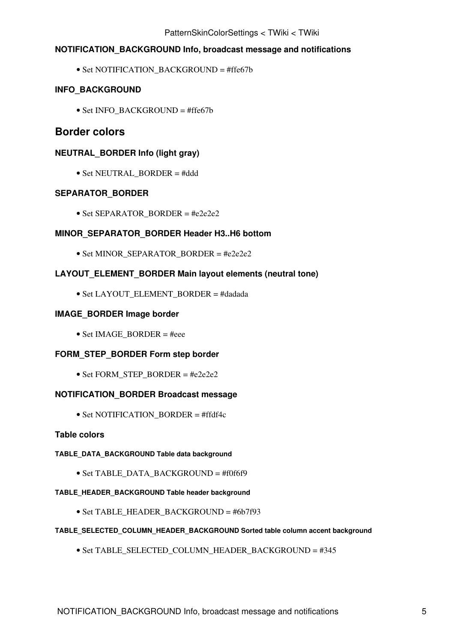#### PatternSkinColorSettings < TWiki < TWiki

### <span id="page-6-0"></span>**NOTIFICATION\_BACKGROUND Info, broadcast message and notifications**

• Set NOTIFICATION\_BACKGROUND = #ffe67b

#### <span id="page-6-1"></span>**INFO\_BACKGROUND**

• Set INFO\_BACKGROUND = #ffe67b

## <span id="page-6-2"></span>**Border colors**

#### <span id="page-6-3"></span>**NEUTRAL\_BORDER Info (light gray)**

• Set NEUTRAL\_BORDER = #ddd

#### <span id="page-6-4"></span>**SEPARATOR\_BORDER**

• Set SEPARATOR BORDER = #e2e2e2

#### <span id="page-6-5"></span>**MINOR\_SEPARATOR\_BORDER Header H3..H6 bottom**

• Set MINOR\_SEPARATOR\_BORDER = #e2e2e2

#### <span id="page-6-6"></span>**LAYOUT\_ELEMENT\_BORDER Main layout elements (neutral tone)**

• Set LAYOUT\_ELEMENT\_BORDER = #dadada

#### <span id="page-6-7"></span>**IMAGE\_BORDER Image border**

• Set IMAGE\_BORDER =  $\#$ eee

#### <span id="page-6-8"></span>**FORM\_STEP\_BORDER Form step border**

• Set FORM\_STEP\_BORDER =  $\text{#e2e2e2}$ 

#### <span id="page-6-9"></span>**NOTIFICATION\_BORDER Broadcast message**

• Set NOTIFICATION BORDER = #ffdf4c

#### <span id="page-6-10"></span>**Table colors**

#### <span id="page-6-11"></span>**TABLE\_DATA\_BACKGROUND Table data background**

• Set TABLE\_DATA\_BACKGROUND = #f0f6f9

#### <span id="page-6-12"></span>**TABLE\_HEADER\_BACKGROUND Table header background**

• Set TABLE\_HEADER\_BACKGROUND = #6b7f93

#### <span id="page-6-13"></span>**TABLE\_SELECTED\_COLUMN\_HEADER\_BACKGROUND Sorted table column accent background**

• Set TABLE\_SELECTED\_COLUMN\_HEADER\_BACKGROUND = #345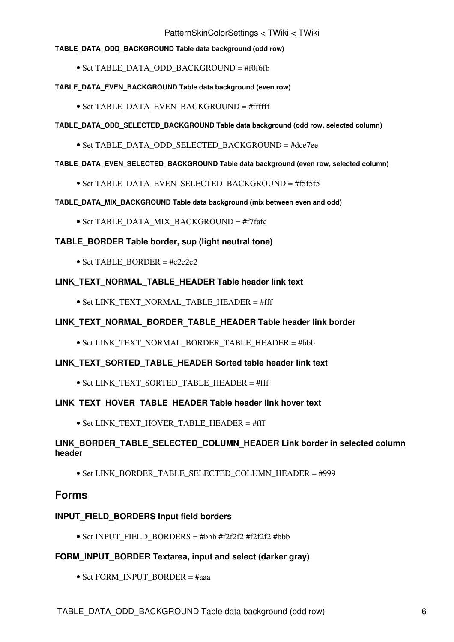#### <span id="page-7-0"></span>**TABLE\_DATA\_ODD\_BACKGROUND Table data background (odd row)**

• Set TABLE\_DATA\_ODD\_BACKGROUND = #f0f6fb

#### <span id="page-7-1"></span>**TABLE\_DATA\_EVEN\_BACKGROUND Table data background (even row)**

• Set TABLE\_DATA\_EVEN\_BACKGROUND = #ffffff

- <span id="page-7-2"></span>**TABLE\_DATA\_ODD\_SELECTED\_BACKGROUND Table data background (odd row, selected column)**
	- Set TABLE\_DATA\_ODD\_SELECTED\_BACKGROUND = #dce7ee

#### <span id="page-7-3"></span>**TABLE\_DATA\_EVEN\_SELECTED\_BACKGROUND Table data background (even row, selected column)**

- Set TABLE\_DATA\_EVEN\_SELECTED\_BACKGROUND = #f5f5f5
- <span id="page-7-4"></span>**TABLE\_DATA\_MIX\_BACKGROUND Table data background (mix between even and odd)**
	- Set TABLE\_DATA\_MIX\_BACKGROUND = #f7fafc

#### <span id="page-7-5"></span>**TABLE\_BORDER Table border, sup (light neutral tone)**

• Set TABLE BORDER =  $\text{#e2e2e2}$ 

#### <span id="page-7-6"></span>**LINK\_TEXT\_NORMAL\_TABLE\_HEADER Table header link text**

• Set LINK\_TEXT\_NORMAL\_TABLE\_HEADER = #fff

#### <span id="page-7-7"></span>**LINK\_TEXT\_NORMAL\_BORDER\_TABLE\_HEADER Table header link border**

• Set LINK\_TEXT\_NORMAL\_BORDER\_TABLE\_HEADER = #bbb

#### <span id="page-7-8"></span>**LINK\_TEXT\_SORTED\_TABLE\_HEADER Sorted table header link text**

• Set LINK\_TEXT\_SORTED\_TABLE\_HEADER = #fff

#### <span id="page-7-9"></span>**LINK\_TEXT\_HOVER\_TABLE\_HEADER Table header link hover text**

• Set LINK\_TEXT\_HOVER\_TABLE\_HEADER = #fff

### <span id="page-7-10"></span>**LINK\_BORDER\_TABLE\_SELECTED\_COLUMN\_HEADER Link border in selected column header**

• Set LINK\_BORDER\_TABLE\_SELECTED\_COLUMN\_HEADER = #999

## <span id="page-7-11"></span>**Forms**

#### <span id="page-7-12"></span>**INPUT\_FIELD\_BORDERS Input field borders**

• Set INPUT\_FIELD\_BORDERS = #bbb #f2f2f2 #f2f2f2 #bbb

### <span id="page-7-13"></span>**FORM\_INPUT\_BORDER Textarea, input and select (darker gray)**

• Set FORM\_INPUT\_BORDER = #aaa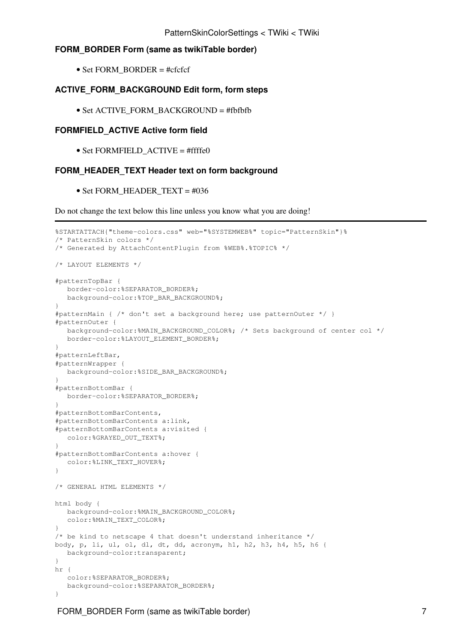#### <span id="page-8-0"></span>**FORM\_BORDER Form (same as twikiTable border)**

• Set FORM\_BORDER = #cfcfcf

#### <span id="page-8-1"></span>**ACTIVE\_FORM\_BACKGROUND Edit form, form steps**

• Set ACTIVE\_FORM\_BACKGROUND = #fbfbfb

#### <span id="page-8-2"></span>**FORMFIELD\_ACTIVE Active form field**

• Set FORMFIELD\_ACTIVE = #ffffe0

#### <span id="page-8-3"></span>**FORM\_HEADER\_TEXT Header text on form background**

• Set FORM\_HEADER\_TEXT = #036

Do not change the text below this line unless you know what you are doing!

```
%STARTATTACH{"theme-colors.css" web="%SYSTEMWEB%" topic="PatternSkin"}%
/* PatternSkin colors */
/* Generated by AttachContentPlugin from %WEB%.%TOPIC% */
/* LAYOUT ELEMENTS */
#patternTopBar {
   border-color:%SEPARATOR_BORDER%;
    background-color:%TOP_BAR_BACKGROUND%;
}
#patternMain { /* don't set a background here; use patternOuter */ }
#patternOuter {
   background-color:%MAIN_BACKGROUND_COLOR%; /* Sets background of center col */
    border-color:%LAYOUT_ELEMENT_BORDER%;
}
#patternLeftBar,
#patternWrapper {
    background-color:%SIDE_BAR_BACKGROUND%;
}
#patternBottomBar {
   border-color:%SEPARATOR_BORDER%;
}
#patternBottomBarContents,
#patternBottomBarContents a:link,
#patternBottomBarContents a:visited {
    color:%GRAYED_OUT_TEXT%;
}
#patternBottomBarContents a:hover {
   color:%LINK_TEXT_HOVER%;
}
/* GENERAL HTML ELEMENTS */
html body {
   background-color:%MAIN_BACKGROUND_COLOR%;
    color:%MAIN_TEXT_COLOR%;
}
/* be kind to netscape 4 that doesn't understand inheritance */
body, p, li, ul, ol, dl, dt, dd, acronym, h1, h2, h3, h4, h5, h6 {
   background-color:transparent;
}
hr {
    color:%SEPARATOR_BORDER%;
    background-color:%SEPARATOR_BORDER%;
}
```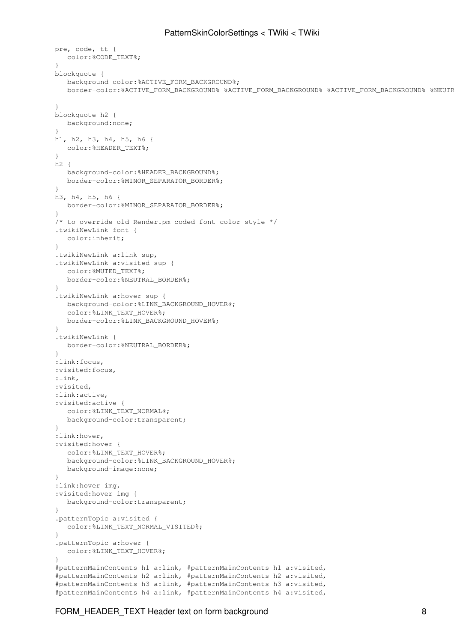```
pre, code, tt {
    color:%CODE_TEXT%;
}
blockquote {
    background-color:%ACTIVE_FORM_BACKGROUND%;
   border-color:%ACTIVE_FORM_BACKGROUND% %ACTIVE_FORM_BACKGROUND% %ACTIVE_FORM_BACKGROUND% %NEUTF
}
blockquote h2 {
   background:none;
}
h1, h2, h3, h4, h5, h6 {
   color:%HEADER_TEXT%;
}
h2 {
   background-color:%HEADER_BACKGROUND%;
   border-color:%MINOR_SEPARATOR_BORDER%;
}
h3, h4, h5, h6 {
    border-color:%MINOR_SEPARATOR_BORDER%;
}
/* to override old Render.pm coded font color style */
.twikiNewLink font {
    color:inherit;
}
.twikiNewLink a:link sup,
.twikiNewLink a:visited sup {
    color:%MUTED_TEXT%;
    border-color:%NEUTRAL_BORDER%;
}
.twikiNewLink a:hover sup {
    background-color:%LINK_BACKGROUND_HOVER%;
    color:%LINK_TEXT_HOVER%;
    border-color:%LINK_BACKGROUND_HOVER%;
}
.twikiNewLink {
   border-color:%NEUTRAL_BORDER%;
\lambda:link:focus,
:visited:focus,
:link,
:visited,
:link:active,
:visited:active {
    color:%LINK_TEXT_NORMAL%;
    background-color:transparent;
}
:link:hover,
:visited:hover {
   color:%LINK_TEXT_HOVER%;
    background-color:%LINK_BACKGROUND_HOVER%;
   background-image:none;
}
:link:hover img,
:visited:hover img {
   background-color:transparent;
}
.patternTopic a:visited {
    color:%LINK_TEXT_NORMAL_VISITED%;
}
.patternTopic a:hover {
   color:%LINK_TEXT_HOVER%;
}
#patternMainContents h1 a:link, #patternMainContents h1 a:visited,
#patternMainContents h2 a:link, #patternMainContents h2 a:visited,
#patternMainContents h3 a:link, #patternMainContents h3 a:visited,
#patternMainContents h4 a:link, #patternMainContents h4 a:visited,
```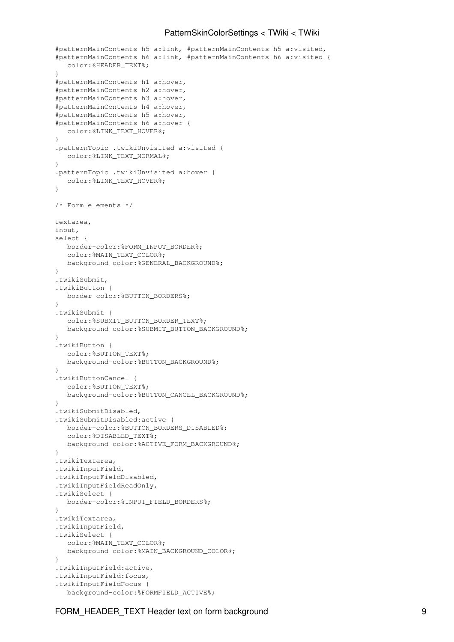#### PatternSkinColorSettings < TWiki < TWiki

```
#patternMainContents h5 a:link, #patternMainContents h5 a:visited,
#patternMainContents h6 a:link, #patternMainContents h6 a:visited {
    color:%HEADER_TEXT%;
}
#patternMainContents h1 a:hover,
#patternMainContents h2 a:hover,
#patternMainContents h3 a:hover,
#patternMainContents h4 a:hover,
#patternMainContents h5 a:hover,
#patternMainContents h6 a:hover {
    color:%LINK_TEXT_HOVER%;
}
.patternTopic .twikiUnvisited a:visited {
    color:%LINK_TEXT_NORMAL%;
}
.patternTopic .twikiUnvisited a:hover {
   color:%LINK_TEXT_HOVER%;
}
/* Form elements */
textarea,
input,
select {
   border-color:%FORM_INPUT_BORDER%;
    color:%MAIN_TEXT_COLOR%;
   background-color:%GENERAL_BACKGROUND%;
}
.twikiSubmit,
.twikiButton {
   border-color:%BUTTON_BORDERS%;
}
.twikiSubmit {
    color:%SUBMIT_BUTTON_BORDER_TEXT%;
    background-color:%SUBMIT_BUTTON_BACKGROUND%;
}
.twikiButton {
    color:%BUTTON_TEXT%;
   background-color:%BUTTON_BACKGROUND%;
}
.twikiButtonCancel {
    color:%BUTTON_TEXT%;
    background-color:%BUTTON_CANCEL_BACKGROUND%;
}
.twikiSubmitDisabled,
.twikiSubmitDisabled:active {
    border-color:%BUTTON_BORDERS_DISABLED%;
    color:%DISABLED_TEXT%;
    background-color:%ACTIVE_FORM_BACKGROUND%;
}
.twikiTextarea,
.twikiInputField,
.twikiInputFieldDisabled,
.twikiInputFieldReadOnly,
.twikiSelect {
    border-color:%INPUT_FIELD_BORDERS%;
}
.twikiTextarea,
.twikiInputField,
.twikiSelect {
    color:%MAIN_TEXT_COLOR%;
    background-color:%MAIN_BACKGROUND_COLOR%;
}
.twikiInputField:active,
.twikiInputField:focus,
.twikiInputFieldFocus {
    background-color:%FORMFIELD_ACTIVE%;
```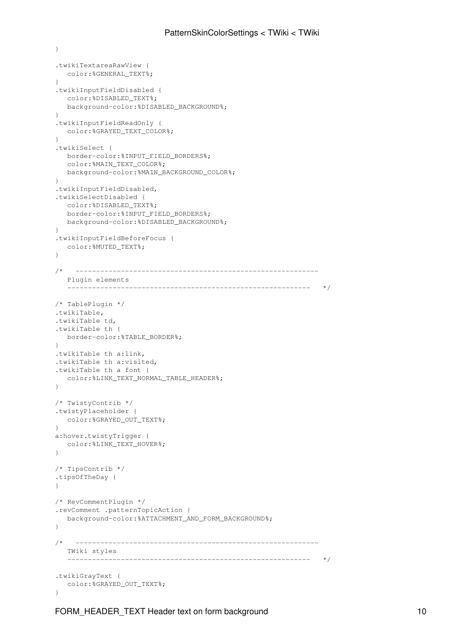}

```
.twikiTextareaRawView {
   color:%GENERAL_TEXT%;
}
.twikiInputFieldDisabled {
    color:%DISABLED_TEXT%;
    background-color:%DISABLED_BACKGROUND%;
}
.twikiInputFieldReadOnly {
    color:%GRAYED_TEXT_COLOR%;
}
.twikiSelect {
   border-color:%INPUT_FIELD_BORDERS%;
   color:%MAIN_TEXT_COLOR%;
   background-color:%MAIN_BACKGROUND_COLOR%;
}
.twikiInputFieldDisabled,
.twikiSelectDisabled {
    color:%DISABLED_TEXT%;
    border-color:%INPUT_FIELD_BORDERS%;
    background-color:%DISABLED_BACKGROUND%;
}
.twikiInputFieldBeforeFocus {
   color:%MUTED_TEXT%;
}
/* -----------------------------------------------------------
   Plugin elements
    ----------------------------------------------------------- */
/* TablePlugin */
.twikiTable,
.twikiTable td,
.twikiTable th {
    border-color:%TABLE_BORDER%;
}
.twikiTable th a:link,
.twikiTable th a:visited,
.twikiTable th a font {
    color:%LINK_TEXT_NORMAL_TABLE_HEADER%;
}
/* TwistyContrib */
.twistyPlaceholder {
   color:%GRAYED_OUT_TEXT%;
}
a:hover.twistyTrigger {
   color:%LINK_TEXT_HOVER%;
}
/* TipsContrib */
.tipsOfTheDay {
}
/* RevCommentPlugin */
.revComment .patternTopicAction {
    background-color:%ATTACHMENT_AND_FORM_BACKGROUND%;
}
/* -----------------------------------------------------------
    TWiki styles
                          ----------------------------------------------------------- */
.twikiGrayText {
    color:%GRAYED_OUT_TEXT%;
}
```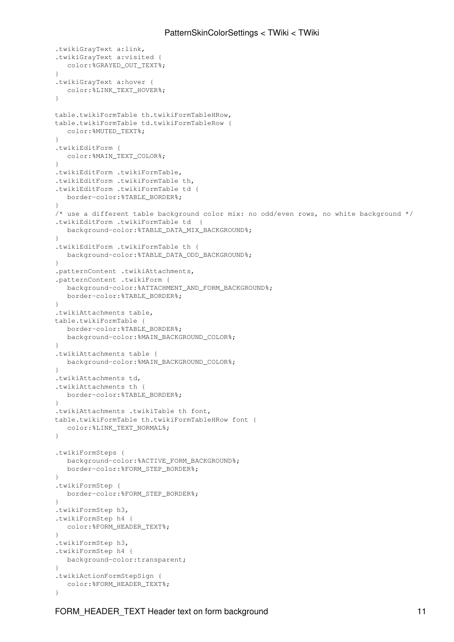```
.twikiGrayText a:link,
.twikiGrayText a:visited {
    color:%GRAYED_OUT_TEXT%;
}
.twikiGrayText a:hover {
    color:%LINK_TEXT_HOVER%;
}
table.twikiFormTable th.twikiFormTableHRow,
table.twikiFormTable td.twikiFormTableRow {
    color:%MUTED_TEXT%;
}
.twikiEditForm {
    color:%MAIN_TEXT_COLOR%;
}
.twikiEditForm .twikiFormTable,
.twikiEditForm .twikiFormTable th,
.twikiEditForm .twikiFormTable td {
   border-color:%TABLE_BORDER%;
}
/* use a different table background color mix: no odd/even rows, no white background */
.twikiEditForm .twikiFormTable td {
   background-color:%TABLE_DATA_MIX_BACKGROUND%;
}
.twikiEditForm .twikiFormTable th {
   background-color:%TABLE_DATA_ODD_BACKGROUND%;
}
.patternContent .twikiAttachments,
.patternContent .twikiForm {
    background-color:%ATTACHMENT_AND_FORM_BACKGROUND%;
    border-color:%TABLE_BORDER%;
}
.twikiAttachments table,
table.twikiFormTable {
    border-color:%TABLE_BORDER%;
    background-color:%MAIN_BACKGROUND_COLOR%;
}
.twikiAttachments table {
   background-color:%MAIN_BACKGROUND_COLOR%;
}
.twikiAttachments td, 
.twikiAttachments th {
   border-color:%TABLE_BORDER%;
}
.twikiAttachments .twikiTable th font,
table.twikiFormTable th.twikiFormTableHRow font {
    color:%LINK_TEXT_NORMAL%;
}
.twikiFormSteps {
   background-color:%ACTIVE_FORM_BACKGROUND%;
    border-color:%FORM_STEP_BORDER%;
}
.twikiFormStep {
   border-color:%FORM_STEP_BORDER%;
}
.twikiFormStep h3,
.twikiFormStep h4 {
    color:%FORM_HEADER_TEXT%;
}
.twikiFormStep h3,
.twikiFormStep h4 {
   background-color:transparent;
}
.twikiActionFormStepSign {
   color:%FORM_HEADER_TEXT%;
}
```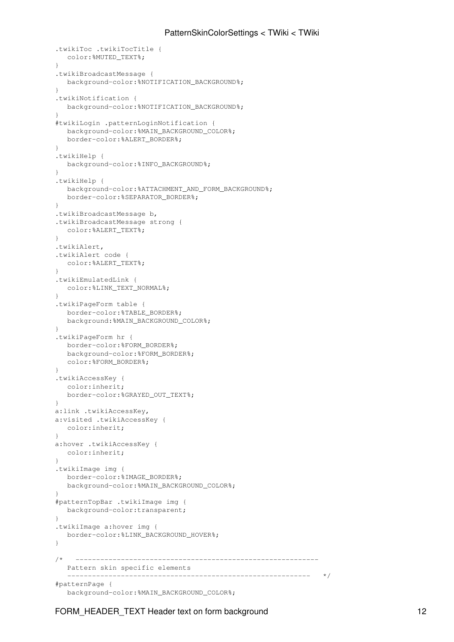```
.twikiToc .twikiTocTitle {
   color:%MUTED_TEXT%;
}
.twikiBroadcastMessage {
   background-color:%NOTIFICATION_BACKGROUND%;
}
.twikiNotification {
    background-color:%NOTIFICATION_BACKGROUND%;
}
#twikiLogin .patternLoginNotification {
   background-color:%MAIN_BACKGROUND_COLOR%;
   border-color:%ALERT_BORDER%;
}
.twikiHelp {
    background-color:%INFO_BACKGROUND%;
}
.twikiHelp {
   background-color:%ATTACHMENT_AND_FORM_BACKGROUND%;
   border-color:%SEPARATOR_BORDER%;
}
.twikiBroadcastMessage b,
.twikiBroadcastMessage strong {
   color:%ALERT_TEXT%;
}
.twikiAlert,
.twikiAlert code {
   color:%ALERT_TEXT%;
}
.twikiEmulatedLink {
   color:%LINK_TEXT_NORMAL%;
}
.twikiPageForm table {
   border-color:%TABLE_BORDER%;
    background:%MAIN_BACKGROUND_COLOR%;
}
.twikiPageForm hr {
   border-color:%FORM_BORDER%;
   background-color:%FORM_BORDER%;
   color:%FORM_BORDER%;
}
.twikiAccessKey {
   color:inherit;
   border-color:%GRAYED_OUT_TEXT%;
}
a:link .twikiAccessKey,
a:visited .twikiAccessKey {
   color:inherit;
}
a:hover .twikiAccessKey {
   color:inherit;
}
.twikiImage img {
   border-color:%IMAGE_BORDER%;
   background-color:%MAIN_BACKGROUND_COLOR%;
}
#patternTopBar .twikiImage img {
   background-color:transparent;
}
.twikiImage a:hover img {
    border-color:%LINK_BACKGROUND_HOVER%;
}
/* -----------------------------------------------------------
    Pattern skin specific elements
                                            ----------------------------------------------------------- */
#patternPage {
    background-color:%MAIN_BACKGROUND_COLOR%;
```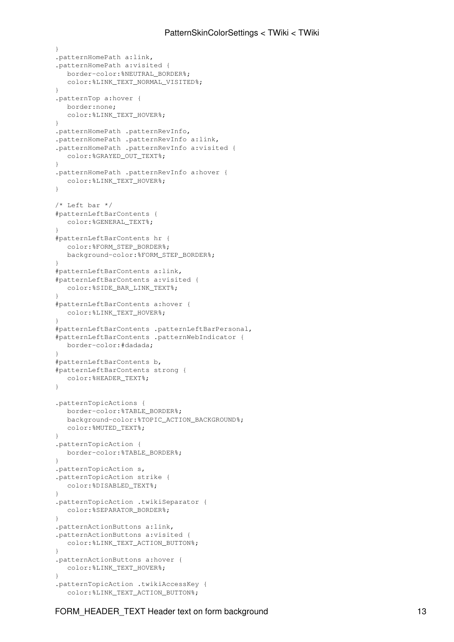```
}
.patternHomePath a:link,
.patternHomePath a:visited {
   border-color:%NEUTRAL_BORDER%;
    color:%LINK_TEXT_NORMAL_VISITED%;
}
.patternTop a:hover {
   border:none;
    color:%LINK_TEXT_HOVER%;
}
.patternHomePath .patternRevInfo,
.patternHomePath .patternRevInfo a:link,
.patternHomePath .patternRevInfo a:visited {
    color:%GRAYED_OUT_TEXT%;
}
.patternHomePath .patternRevInfo a:hover {
   color:%LINK_TEXT_HOVER%;
}
/* Left bar */#patternLeftBarContents {
   color:%GENERAL_TEXT%;
}
#patternLeftBarContents hr {
   color:%FORM_STEP_BORDER%;
    background-color:%FORM_STEP_BORDER%;
}
#patternLeftBarContents a:link,
#patternLeftBarContents a:visited {
   color:%SIDE_BAR_LINK_TEXT%;
}
#patternLeftBarContents a:hover {
   color:%LINK_TEXT_HOVER%;
}
#patternLeftBarContents .patternLeftBarPersonal,
#patternLeftBarContents .patternWebIndicator {
   border-color:#dadada;
}
#patternLeftBarContents b,
#patternLeftBarContents strong {
   color:%HEADER_TEXT%;
}
.patternTopicActions {
   border-color:%TABLE_BORDER%;
    background-color:%TOPIC_ACTION_BACKGROUND%;
    color:%MUTED_TEXT%;
}
.patternTopicAction {
   border-color:%TABLE_BORDER%;
}
.patternTopicAction s,
.patternTopicAction strike {
   color:%DISABLED_TEXT%;
}
.patternTopicAction .twikiSeparator {
   color:%SEPARATOR_BORDER%;
}
.patternActionButtons a:link,
.patternActionButtons a:visited {
    color:%LINK_TEXT_ACTION_BUTTON%;
}
.patternActionButtons a:hover {
    color:%LINK_TEXT_HOVER%;
}
.patternTopicAction .twikiAccessKey {
    color:%LINK_TEXT_ACTION_BUTTON%;
```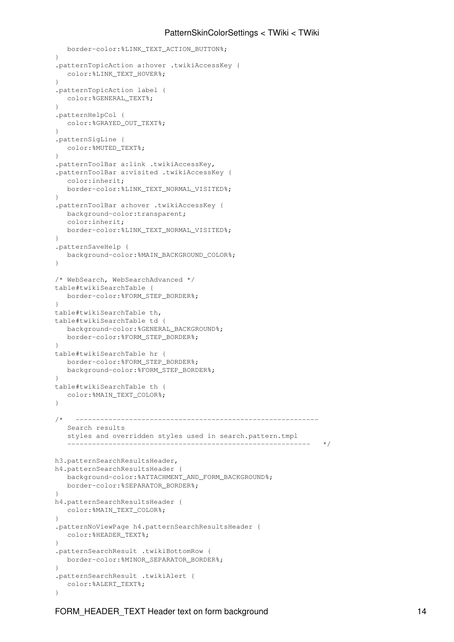```
 border-color:%LINK_TEXT_ACTION_BUTTON%;
}
.patternTopicAction a:hover .twikiAccessKey {
   color:%LINK_TEXT_HOVER%;
}
.patternTopicAction label {
    color:%GENERAL_TEXT%;
}
.patternHelpCol {
   color:%GRAYED_OUT_TEXT%;
}
.patternSigLine {
    color:%MUTED_TEXT%;
}
.patternToolBar a:link .twikiAccessKey,
.patternToolBar a:visited .twikiAccessKey {
   color:inherit;
   border-color:%LINK_TEXT_NORMAL_VISITED%;
}
.patternToolBar a:hover .twikiAccessKey {
   background-color:transparent;
    color:inherit;
    border-color:%LINK_TEXT_NORMAL_VISITED%;
}
.patternSaveHelp {
    background-color:%MAIN_BACKGROUND_COLOR%;
}
/* WebSearch, WebSearchAdvanced */
table#twikiSearchTable {
   border-color:%FORM_STEP_BORDER%;
}
table#twikiSearchTable th,
table#twikiSearchTable td {
    background-color:%GENERAL_BACKGROUND%;
    border-color:%FORM_STEP_BORDER%;
}
table#twikiSearchTable hr {
   border-color:%FORM_STEP_BORDER%;
   background-color:%FORM_STEP_BORDER%;
}
table#twikiSearchTable th {
   color:%MAIN_TEXT_COLOR%;
}
/* -----------------------------------------------------------
    Search results
    styles and overridden styles used in search.pattern.tmpl
    ----------------------------------------------------------- */
h3.patternSearchResultsHeader,
h4.patternSearchResultsHeader {
   background-color:%ATTACHMENT_AND_FORM_BACKGROUND%;
   border-color:%SEPARATOR_BORDER%;
}
h4.patternSearchResultsHeader {
    color:%MAIN_TEXT_COLOR%;
}
.patternNoViewPage h4.patternSearchResultsHeader {
   color:%HEADER_TEXT%;
}
.patternSearchResult .twikiBottomRow {
    border-color:%MINOR_SEPARATOR_BORDER%;
}
.patternSearchResult .twikiAlert {
   color:%ALERT_TEXT%;
}
```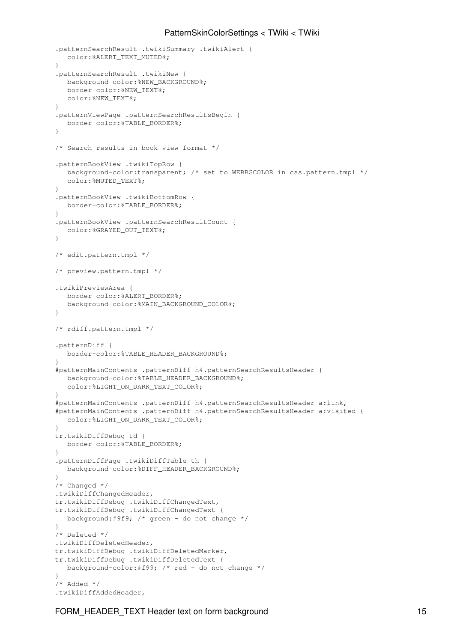```
.patternSearchResult .twikiSummary .twikiAlert {
    color:%ALERT_TEXT_MUTED%;
}
.patternSearchResult .twikiNew {
   background-color:%NEW_BACKGROUND%;
    border-color:%NEW_TEXT%;
    color:%NEW_TEXT%;
}
.patternViewPage .patternSearchResultsBegin {
    border-color:%TABLE_BORDER%;
}
/* Search results in book view format */
.patternBookView .twikiTopRow {
   background-color:transparent; /* set to WEBBGCOLOR in css.pattern.tmpl */
    color:%MUTED_TEXT%;
}
.patternBookView .twikiBottomRow {
   border-color:%TABLE_BORDER%;
}
.patternBookView .patternSearchResultCount {
   color:%GRAYED_OUT_TEXT%;
}
/* edit.pattern.tmpl */
/* preview.pattern.tmpl */
.twikiPreviewArea {
   border-color:%ALERT_BORDER%;
    background-color:%MAIN_BACKGROUND_COLOR%;
}
/* rdiff.pattern.tmpl */
.patternDiff {
    border-color:%TABLE_HEADER_BACKGROUND%;
}
#patternMainContents .patternDiff h4.patternSearchResultsHeader {
   background-color:%TABLE_HEADER_BACKGROUND%;
    color:%LIGHT_ON_DARK_TEXT_COLOR%;
}
#patternMainContents .patternDiff h4.patternSearchResultsHeader a:link,
#patternMainContents .patternDiff h4.patternSearchResultsHeader a:visited {
   color:%LIGHT_ON_DARK_TEXT_COLOR%;
}
tr.twikiDiffDebug td {
   border-color:%TABLE_BORDER%;
}
.patternDiffPage .twikiDiffTable th {
   background-color:%DIFF_HEADER_BACKGROUND%;
}
/* Changed */
.twikiDiffChangedHeader,
tr.twikiDiffDebug .twikiDiffChangedText,
tr.twikiDiffDebug .twikiDiffChangedText {
   background:#9f9; /* green - do not change */
}
/* Deleted */
.twikiDiffDeletedHeader,
tr.twikiDiffDebug .twikiDiffDeletedMarker,
tr.twikiDiffDebug .twikiDiffDeletedText {
   background-color: #f99; /* red - do not change */}
/* Added */
.twikiDiffAddedHeader,
```
FORM\_HEADER\_TEXT Header text on form background 15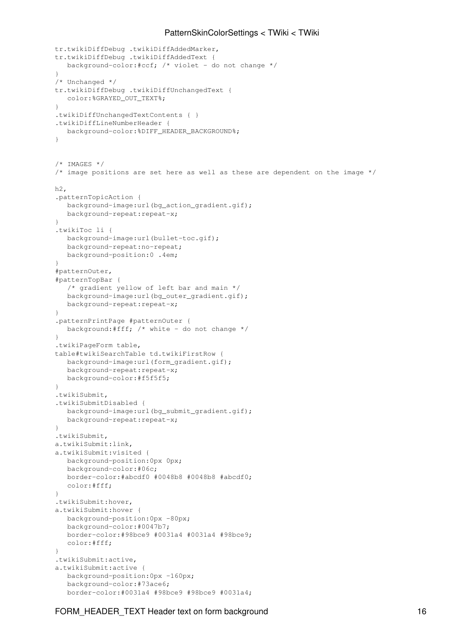```
tr.twikiDiffDebug .twikiDiffAddedMarker,
tr.twikiDiffDebug .twikiDiffAddedText {
   background-color: \#ccf; /* violet - do not change */
}
/* Unchanged */
tr.twikiDiffDebug .twikiDiffUnchangedText {
   color:%GRAYED_OUT_TEXT%;
}
.twikiDiffUnchangedTextContents { }
.twikiDiffLineNumberHeader {
   background-color:%DIFF_HEADER_BACKGROUND%;
}
/* IMAGES *//* image positions are set here as well as these are dependent on the image */h2,
.patternTopicAction {
   background-image:url(bg_action_gradient.gif);
    background-repeat:repeat-x;
}
.twikiToc li {
    background-image:url(bullet-toc.gif);
    background-repeat:no-repeat;
    background-position:0 .4em;
}
#patternOuter,
#patternTopBar {
    /* gradient yellow of left bar and main */
    background-image:url(bg_outer_gradient.gif);
    background-repeat:repeat-x;
}
.patternPrintPage #patternOuter {
   background: #fff; /* white - do not change */}
.twikiPageForm table,
table#twikiSearchTable td.twikiFirstRow {
    background-image:url(form_gradient.gif);
   background-repeat: repeat-x;
    background-color:#f5f5f5;
}
.twikiSubmit,
.twikiSubmitDisabled {
    background-image:url(bg_submit_gradient.gif);
    background-repeat:repeat-x;
}
.twikiSubmit,
a.twikiSubmit:link,
a.twikiSubmit:visited {
   background-position:0px 0px;
    background-color:#06c;
    border-color:#abcdf0 #0048b8 #0048b8 #abcdf0;
    color:#fff;
}
.twikiSubmit:hover,
a.twikiSubmit:hover {
    background-position:0px -80px;
    background-color:#0047b7;
    border-color:#98bce9 #0031a4 #0031a4 #98bce9;
    color:#fff;
}
.twikiSubmit:active,
a.twikiSubmit:active {
    background-position:0px -160px;
    background-color:#73ace6;
    border-color:#0031a4 #98bce9 #98bce9 #0031a4;
```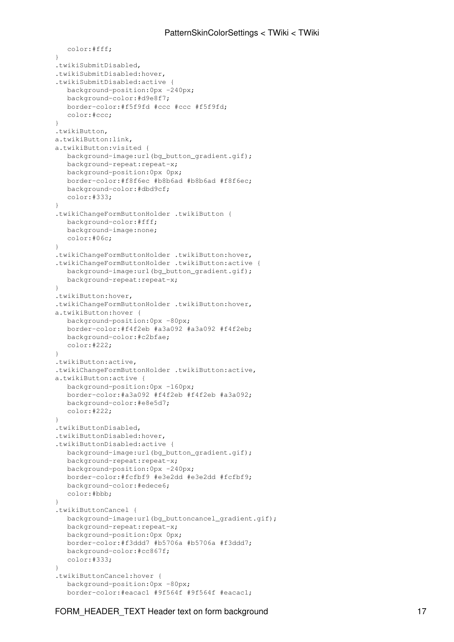```
 color:#fff;
}
.twikiSubmitDisabled,
.twikiSubmitDisabled:hover,
.twikiSubmitDisabled:active {
    background-position:0px -240px;
    background-color:#d9e8f7;
    border-color:#f5f9fd #ccc #ccc #f5f9fd;
    color:#ccc;
}
.twikiButton,
a.twikiButton:link,
a.twikiButton:visited {
    background-image:url(bg_button_gradient.gif);
   background-repeat:repeat-x;
   background-position:0px 0px;
   border-color:#f8f6ec #b8b6ad #b8b6ad #f8f6ec;
   background-color:#dbd9cf;
    color:#333;
}
.twikiChangeFormButtonHolder .twikiButton {
    background-color:#fff;
    background-image:none;
    color:#06c;
}
.twikiChangeFormButtonHolder .twikiButton:hover,
.twikiChangeFormButtonHolder .twikiButton:active {
    background-image:url(bg_button_gradient.gif);
    background-repeat:repeat-x;
}
.twikiButton:hover,
.twikiChangeFormButtonHolder .twikiButton:hover,
a.twikiButton:hover {
    background-position:0px -80px;
    border-color:#f4f2eb #a3a092 #a3a092 #f4f2eb;
    background-color:#c2bfae;
    color:#222;
}
.twikiButton:active,
.twikiChangeFormButtonHolder .twikiButton:active,
a.twikiButton:active {
    background-position:0px -160px;
    border-color:#a3a092 #f4f2eb #f4f2eb #a3a092;
    background-color:#e8e5d7;
    color:#222;
}
.twikiButtonDisabled,
.twikiButtonDisabled:hover,
.twikiButtonDisabled:active {
   background-image:url(bg_button_gradient.gif);
   background-repeat:repeat-x;
   background-position:0px -240px;
   border-color:#fcfbf9 #e3e2dd #e3e2dd #fcfbf9;
   background-color:#edece6;
    color:#bbb;
}
.twikiButtonCancel {
    background-image:url(bg_buttoncancel_gradient.gif);
    background-repeat:repeat-x;
    background-position:0px 0px;
    border-color:#f3ddd7 #b5706a #b5706a #f3ddd7;
    background-color:#cc867f;
    color:#333;
}
.twikiButtonCancel:hover {
    background-position:0px -80px;
    border-color:#eacac1 #9f564f #9f564f #eacac1;
```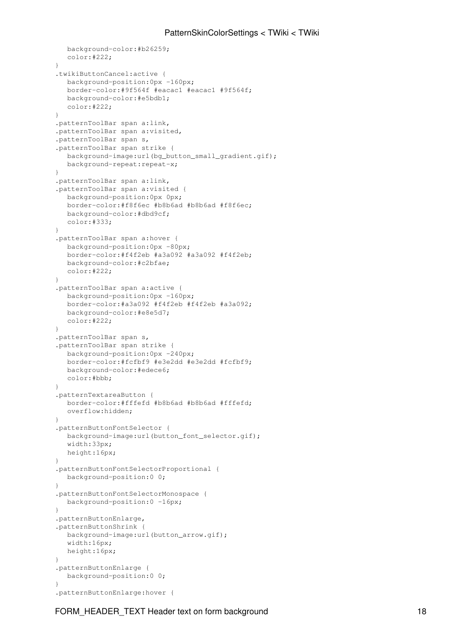```
 background-color:#b26259;
    color:#222;
}
.twikiButtonCancel:active {
    background-position:0px -160px;
    border-color:#9f564f #eacac1 #eacac1 #9f564f;
    background-color:#e5bdb1;
    color:#222;
}
.patternToolBar span a:link,
.patternToolBar span a:visited,
.patternToolBar span s,
.patternToolBar span strike {
    background-image:url(bg_button_small_gradient.gif);
    background-repeat:repeat-x;
}
.patternToolBar span a:link,
.patternToolBar span a:visited {
   background-position:0px 0px;
    border-color:#f8f6ec #b8b6ad #b8b6ad #f8f6ec;
    background-color:#dbd9cf;
    color:#333;
}
.patternToolBar span a:hover {
   background-position:0px -80px;
    border-color:#f4f2eb #a3a092 #a3a092 #f4f2eb;
   background-color:#c2bfae;
    color:#222;
}
.patternToolBar span a:active {
   background-position:0px -160px;
    border-color:#a3a092 #f4f2eb #f4f2eb #a3a092;
    background-color:#e8e5d7;
    color:#222;
}
.patternToolBar span s,
.patternToolBar span strike {
    background-position:0px -240px;
    border-color:#fcfbf9 #e3e2dd #e3e2dd #fcfbf9;
    background-color:#edece6;
    color:#bbb;
}
.patternTextareaButton {
   border-color:#fffefd #b8b6ad #b8b6ad #fffefd;
    overflow:hidden;
}
.patternButtonFontSelector {
   background-image:url(button_font_selector.gif);
    width:33px;
    height:16px;
}
.patternButtonFontSelectorProportional {
   background-position:0 0;
}
.patternButtonFontSelectorMonospace {
   background-position:0 -16px;
}
.patternButtonEnlarge,
.patternButtonShrink {
    background-image:url(button_arrow.gif);
    width:16px;
    height:16px;
}
.patternButtonEnlarge {
    background-position:0 0;
}
.patternButtonEnlarge:hover {
```
FORM\_HEADER\_TEXT Header text on form background TORM\_HEADER\_TEXT Header text on form background